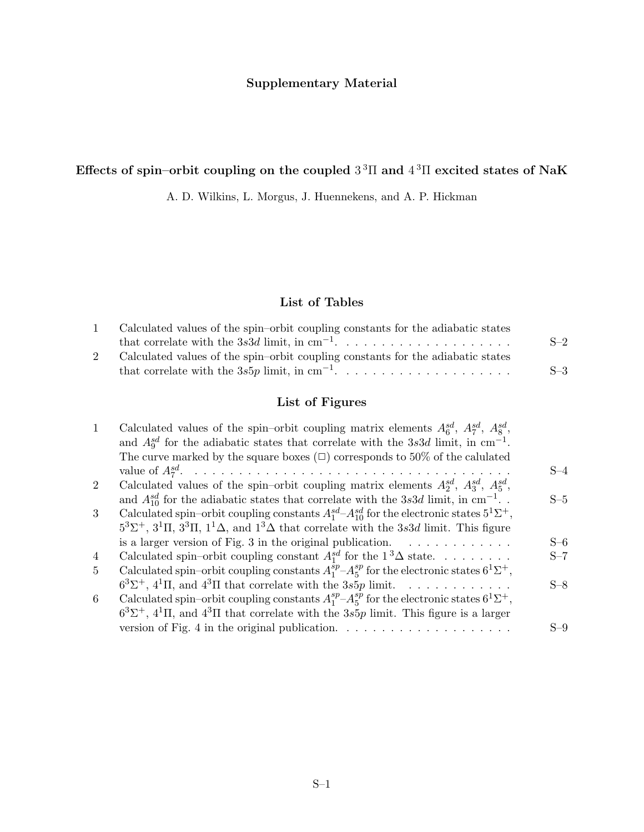## **Supplementary Material**

## **Effects of spin–orbit coupling on the coupled** 3 <sup>3</sup>Π **and** 4 <sup>3</sup>Π **excited states of NaK**

A. D. Wilkins, L. Morgus, J. Huennekens, and A. P. Hickman

## **List of Tables**

| Calculated values of the spin-orbit coupling constants for the adiabatic states |       |
|---------------------------------------------------------------------------------|-------|
|                                                                                 | $S-2$ |
| Calculated values of the spin-orbit coupling constants for the adiabatic states |       |
|                                                                                 | $S-3$ |

## **List of Figures**

| $\mathbf{1}$   | Calculated values of the spin–orbit coupling matrix elements $A_6^{sd}$ , $A_7^{sd}$ , $A_8^{sd}$ ,                             |       |
|----------------|---------------------------------------------------------------------------------------------------------------------------------|-------|
|                | and $A_9^{sd}$ for the adiabatic states that correlate with the 3s3d limit, in cm <sup>-1</sup> .                               |       |
|                | The curve marked by the square boxes $(\Box)$ corresponds to 50% of the calulated                                               |       |
|                |                                                                                                                                 | $S-4$ |
| $\overline{2}$ | Calculated values of the spin–orbit coupling matrix elements $A_2^{sd}$ , $A_3^{sd}$ , $A_5^{sd}$ ,                             |       |
|                | and $A_{10}^{sd}$ for the adiabatic states that correlate with the 3s3d limit, in cm <sup>-1</sup>                              | $S-5$ |
| 3              | Calculated spin–orbit coupling constants $A_1^{sd}$ – $A_{10}^{sd}$ for the electronic states $5^1\Sigma^+$ ,                   |       |
|                | $5^{3}\Sigma^{+}$ , $3^{1}\Pi$ , $3^{3}\Pi$ , $1^{1}\Delta$ , and $1^{3}\Delta$ that correlate with the 3s3d limit. This figure |       |
|                | is a larger version of Fig. 3 in the original publication. $\ldots \ldots \ldots \ldots$                                        | $S-6$ |
| $\overline{4}$ | Calculated spin–orbit coupling constant $A_1^{sd}$ for the $1^3\Delta$ state                                                    | $S-7$ |
| $\overline{5}$ | Calculated spin–orbit coupling constants $A_1^{sp}-A_5^{sp}$ for the electronic states $6^1\Sigma^+$ ,                          |       |
|                | $6^{3}\Sigma^{+}$ , $4^{1}\Pi$ , and $4^{3}\Pi$ that correlate with the 3s5p limit.                                             | $S-8$ |
| 6              | Calculated spin–orbit coupling constants $A_1^{sp}-A_5^{sp}$ for the electronic states $6^1\Sigma^+,$                           |       |
|                | $6^{3}\Sigma^{+}$ , $4^{1}\Pi$ , and $4^{3}\Pi$ that correlate with the 3s5p limit. This figure is a larger                     |       |
|                | version of Fig. 4 in the original publication. $\ldots \ldots \ldots \ldots \ldots \ldots \ldots$                               | $S-9$ |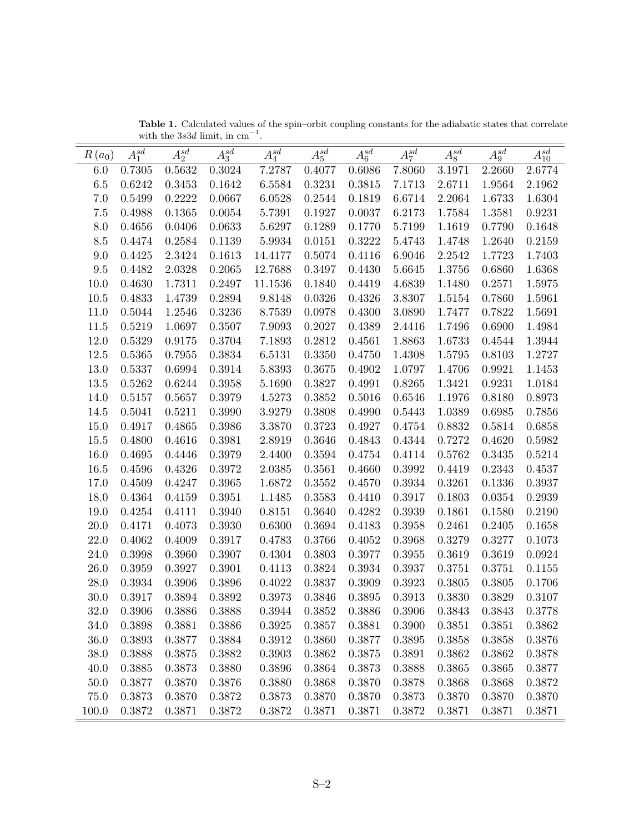| $R(a_0)$ | $A_1^{sd}$ | $A_2^{sd}$ | $A_3^{sd}$ | $A_4^{sd}$ | $A_5^{sd}$ | $A_6^{sd}$ | $A_7^{sd}$ | $A_8^{sd}$ | $A_9^{sd}$ | $A_{10}^{sd}$ |
|----------|------------|------------|------------|------------|------------|------------|------------|------------|------------|---------------|
| 6.0      | 0.7305     | 0.5632     | $0.3024\,$ | 7.2787     | 0.4077     | 0.6086     | 7.8060     | 3.1971     | 2.2660     | 2.6774        |
| 6.5      | 0.6242     | 0.3453     | 0.1642     | 6.5584     | 0.3231     | 0.3815     | 7.1713     | 2.6711     | 1.9564     | 2.1962        |
| $7.0\,$  | 0.5499     | 0.2222     | 0.0667     | 6.0528     | 0.2544     | 0.1819     | 6.6714     | 2.2064     | 1.6733     | 1.6304        |
| 7.5      | 0.4988     | 0.1365     | 0.0054     | 5.7391     | 0.1927     | 0.0037     | 6.2173     | 1.7584     | 1.3581     | 0.9231        |
| 8.0      | 0.4656     | 0.0406     | 0.0633     | 5.6297     | 0.1289     | 0.1770     | 5.7199     | 1.1619     | 0.7790     | 0.1648        |
| $8.5\,$  | 0.4474     | 0.2584     | 0.1139     | 5.9934     | 0.0151     | 0.3222     | 5.4743     | 1.4748     | 1.2640     | 0.2159        |
| 9.0      | 0.4425     | 2.3424     | $0.1613\,$ | 14.4177    | 0.5074     | 0.4116     | 6.9046     | 2.2542     | 1.7723     | 1.7403        |
| $\,9.5$  | 0.4482     | 2.0328     | 0.2065     | 12.7688    | 0.3497     | 0.4430     | 5.6645     | 1.3756     | 0.6860     | 1.6368        |
| 10.0     | 0.4630     | 1.7311     | 0.2497     | 11.1536    | 0.1840     | 0.4419     | 4.6839     | 1.1480     | 0.2571     | 1.5975        |
| 10.5     | 0.4833     | 1.4739     | 0.2894     | 9.8148     | 0.0326     | 0.4326     | 3.8307     | 1.5154     | 0.7860     | 1.5961        |
| 11.0     | 0.5044     | 1.2546     | 0.3236     | 8.7539     | 0.0978     | 0.4300     | 3.0890     | 1.7477     | 0.7822     | 1.5691        |
| 11.5     | 0.5219     | 1.0697     | 0.3507     | 7.9093     | 0.2027     | 0.4389     | 2.4416     | 1.7496     | 0.6900     | 1.4984        |
| 12.0     | 0.5329     | 0.9175     | 0.3704     | 7.1893     | 0.2812     | 0.4561     | 1.8863     | 1.6733     | 0.4544     | 1.3944        |
| 12.5     | 0.5365     | 0.7955     | $0.3834\,$ | 6.5131     | 0.3350     | 0.4750     | 1.4308     | 1.5795     | 0.8103     | 1.2727        |
| 13.0     | 0.5337     | 0.6994     | 0.3914     | 5.8393     | 0.3675     | 0.4902     | 1.0797     | 1.4706     | 0.9921     | 1.1453        |
| 13.5     | 0.5262     | 0.6244     | 0.3958     | 5.1690     | 0.3827     | 0.4991     | 0.8265     | 1.3421     | 0.9231     | 1.0184        |
| 14.0     | 0.5157     | 0.5657     | $0.3979\,$ | 4.5273     | 0.3852     | 0.5016     | 0.6546     | 1.1976     | 0.8180     | 0.8973        |
| 14.5     | 0.5041     | 0.5211     | 0.3990     | 3.9279     | 0.3808     | 0.4990     | 0.5443     | 1.0389     | 0.6985     | 0.7856        |
| 15.0     | 0.4917     | 0.4865     | 0.3986     | 3.3870     | 0.3723     | 0.4927     | $0.4754\,$ | 0.8832     | 0.5814     | 0.6858        |
| 15.5     | 0.4800     | 0.4616     | 0.3981     | 2.8919     | 0.3646     | 0.4843     | 0.4344     | 0.7272     | 0.4620     | 0.5982        |
| 16.0     | 0.4695     | 0.4446     | 0.3979     | 2.4400     | 0.3594     | 0.4754     | 0.4114     | 0.5762     | 0.3435     | 0.5214        |
| 16.5     | 0.4596     | 0.4326     | $0.3972\,$ | 2.0385     | 0.3561     | 0.4660     | 0.3992     | 0.4419     | 0.2343     | 0.4537        |
| 17.0     | 0.4509     | 0.4247     | 0.3965     | 1.6872     | 0.3552     | 0.4570     | 0.3934     | 0.3261     | 0.1336     | 0.3937        |
| 18.0     | 0.4364     | 0.4159     | $0.3951\,$ | 1.1485     | 0.3583     | 0.4410     | 0.3917     | 0.1803     | 0.0354     | 0.2939        |
| 19.0     | 0.4254     | 0.4111     | 0.3940     | 0.8151     | 0.3640     | 0.4282     | 0.3939     | 0.1861     | 0.1580     | 0.2190        |
| $20.0\,$ | 0.4171     | 0.4073     | 0.3930     | 0.6300     | $0.3694\,$ | 0.4183     | 0.3958     | 0.2461     | 0.2405     | 0.1658        |
| $22.0\,$ | 0.4062     | 0.4009     | 0.3917     | 0.4783     | 0.3766     | 0.4052     | 0.3968     | 0.3279     | 0.3277     | 0.1073        |
| 24.0     | 0.3998     | 0.3960     | $0.3907\,$ | 0.4304     | 0.3803     | 0.3977     | 0.3955     | 0.3619     | 0.3619     | 0.0924        |
| 26.0     | 0.3959     | 0.3927     | 0.3901     | 0.4113     | 0.3824     | 0.3934     | 0.3937     | 0.3751     | 0.3751     | 0.1155        |
| 28.0     | 0.3934     | 0.3906     | $0.3896\,$ | 0.4022     | 0.3837     | 0.3909     | 0.3923     | 0.3805     | 0.3805     | 0.1706        |
| 30.0     | 0.3917     | 0.3894     | 0.3892     | 0.3973     | 0.3846     | 0.3895     | 0.3913     | 0.3830     | 0.3829     | 0.3107        |
| $32.0\,$ | 0.3906     | 0.3886     | 0.3888     | 0.3944     | 0.3852     | 0.3886     | 0.3906     | 0.3843     | 0.3843     | 0.3778        |
| 34.0     | 0.3898     | 0.3881     | 0.3886     | 0.3925     | 0.3857     | 0.3881     | 0.3900     | 0.3851     | 0.3851     | 0.3862        |
| 36.0     | 0.3893     | 0.3877     | 0.3884     | 0.3912     | 0.3860     | 0.3877     | 0.3895     | 0.3858     | 0.3858     | 0.3876        |
| 38.0     | 0.3888     | 0.3875     | 0.3882     | 0.3903     | 0.3862     | 0.3875     | 0.3891     | 0.3862     | 0.3862     | 0.3878        |
| 40.0     | 0.3885     | 0.3873     | 0.3880     | 0.3896     | 0.3864     | 0.3873     | 0.3888     | 0.3865     | 0.3865     | 0.3877        |
| $50.0\,$ | 0.3877     | 0.3870     | 0.3876     | 0.3880     | 0.3868     | 0.3870     | 0.3878     | 0.3868     | 0.3868     | 0.3872        |
| 75.0     | 0.3873     | 0.3870     | 0.3872     | 0.3873     | 0.3870     | 0.3870     | 0.3873     | 0.3870     | 0.3870     | 0.3870        |
| 100.0    | 0.3872     | 0.3871     | 0.3872     | 0.3872     | 0.3871     | 0.3871     | 0.3872     | 0.3871     | 0.3871     | 0.3871        |

**Table 1.** Calculated values of the spin–orbit coupling constants for the adiabatic states that correlate with the 3*s*3*d* limit, in cm*−*<sup>1</sup>.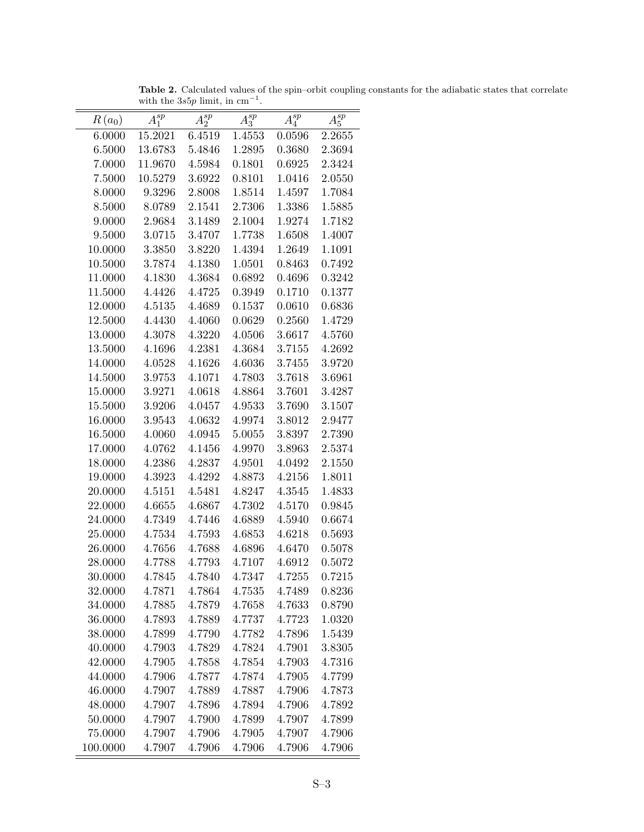| $R(a_0)$ | $A_1^{sp}$ | $A_2^{sp}$ | $A_3^{sp}$ | $A_4^{sp}$ | $A_5^{sp}$ |
|----------|------------|------------|------------|------------|------------|
| 6.0000   | 15.2021    | 6.4519     | 1.4553     | 0.0596     | 2.2655     |
| 6.5000   | 13.6783    | 5.4846     | 1.2895     | 0.3680     | 2.3694     |
| 7.0000   | 11.9670    | 4.5984     | 0.1801     | 0.6925     | 2.3424     |
| 7.5000   | 10.5279    | 3.6922     | 0.8101     | 1.0416     | 2.0550     |
| 8.0000   | 9.3296     | 2.8008     | 1.8514     | 1.4597     | 1.7084     |
| 8.5000   | 8.0789     | 2.1541     | 2.7306     | 1.3386     | 1.5885     |
| 9.0000   | 2.9684     | 3.1489     | 2.1004     | 1.9274     | 1.7182     |
| 9.5000   | 3.0715     | 3.4707     | 1.7738     | 1.6508     | 1.4007     |
| 10.0000  | 3.3850     | 3.8220     | 1.4394     | 1.2649     | 1.1091     |
| 10.5000  | 3.7874     | 4.1380     | 1.0501     | 0.8463     | 0.7492     |
| 11.0000  | 4.1830     | 4.3684     | 0.6892     | 0.4696     | 0.3242     |
| 11.5000  | 4.4426     | 4.4725     | 0.3949     | 0.1710     | 0.1377     |
| 12.0000  | 4.5135     | 4.4689     | 0.1537     | 0.0610     | 0.6836     |
| 12.5000  | 4.4430     | 4.4060     | 0.0629     | 0.2560     | 1.4729     |
| 13.0000  | 4.3078     | 4.3220     | 4.0506     | 3.6617     | 4.5760     |
| 13.5000  | 4.1696     | 4.2381     | 4.3684     | 3.7155     | 4.2692     |
| 14.0000  | 4.0528     | 4.1626     | 4.6036     | 3.7455     | 3.9720     |
| 14.5000  | 3.9753     | 4.1071     | 4.7803     | 3.7618     | 3.6961     |
| 15.0000  | 3.9271     | 4.0618     | 4.8864     | 3.7601     | 3.4287     |
| 15.5000  | 3.9206     | 4.0457     | 4.9533     | 3.7690     | 3.1507     |
| 16.0000  | 3.9543     | 4.0632     | 4.9974     | 3.8012     | 2.9477     |
| 16.5000  | 4.0060     | 4.0945     | 5.0055     | 3.8397     | 2.7390     |
| 17.0000  | 4.0762     | 4.1456     | 4.9970     | 3.8963     | 2.5374     |
| 18.0000  | 4.2386     | 4.2837     | 4.9501     | 4.0492     | 2.1550     |
| 19.0000  | 4.3923     | 4.4292     | 4.8873     | 4.2156     | 1.8011     |
| 20.0000  | 4.5151     | 4.5481     | 4.8247     | 4.3545     | 1.4833     |
| 22.0000  | 4.6655     | 4.6867     | 4.7302     | 4.5170     | 0.9845     |
| 24.0000  | 4.7349     | 4.7446     | 4.6889     | 4.5940     | 0.6674     |
| 25.0000  | 4.7534     | 4.7593     | 4.6853     | 4.6218     | 0.5693     |
| 26.0000  | 4.7656     | 4.7688     | 4.6896     | 4.6470     | 0.5078     |
| 28.0000  | 4.7788     | 4.7793     | 4.7107     | 4.6912     | 0.5072     |
| 30.0000  | 4.7845     | 4.7840     | 4.7347     | 4.7255     | 0.7215     |
| 32.0000  | 4.7871     | 4.7864     | 4.7535     | 4.7489     | 0.8236     |
| 34.0000  | 4.7885     | 4.7879     | 4.7658     | 4.7633     | 0.8790     |
| 36.0000  | 4.7893     | 4.7889     | 4.7737     | 4.7723     | 1.0320     |
| 38.0000  | 4.7899     | 4.7790     | 4.7782     | 4.7896     | 1.5439     |
| 40.0000  | 4.7903     | 4.7829     | 4.7824     | 4.7901     | 3.8305     |
| 42.0000  | 4.7905     | 4.7858     | 4.7854     | 4.7903     | 4.7316     |
| 44.0000  | 4.7906     | 4.7877     | 4.7874     | 4.7905     | 4.7799     |
| 46.0000  | 4.7907     | 4.7889     | 4.7887     | 4.7906     | 4.7873     |
| 48.0000  | 4.7907     | 4.7896     | 4.7894     | 4.7906     | 4.7892     |
| 50.0000  | 4.7907     | 4.7900     | 4.7899     | 4.7907     | 4.7899     |
| 75.0000  | 4.7907     | 4.7906     | 4.7905     | 4.7907     | 4.7906     |
| 100.0000 | 4.7907     | 4.7906     | 4.7906     | 4.7906     | 4.7906     |

**Table 2.** Calculated values of the spin–orbit coupling constants for the adiabatic states that correlate with the 3*s*5*p* limit, in cm*−*<sup>1</sup>.  $=$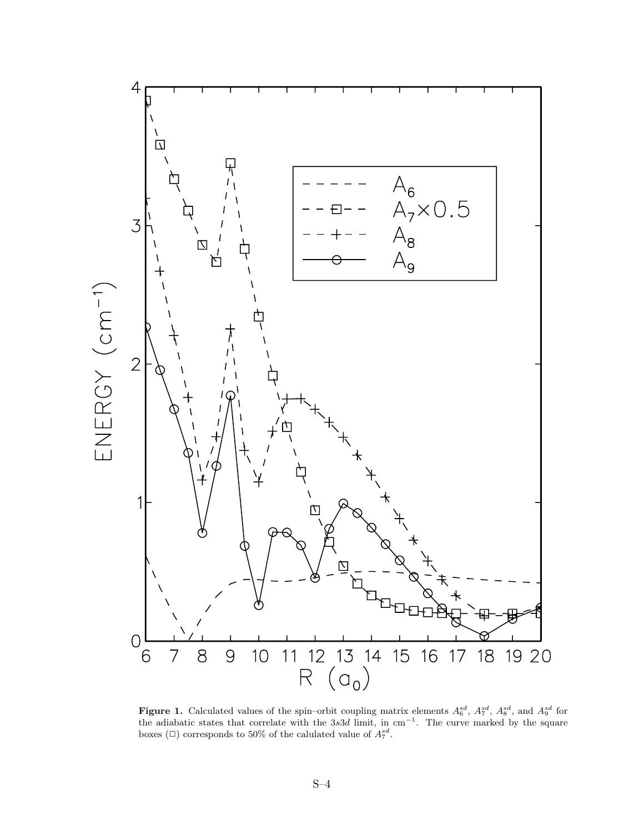

**Figure 1.** Calculated values of the spin–orbit coupling matrix elements  $A_6^{sd}$ ,  $A_7^{sd}$ ,  $A_8^{sd}$ , and  $A_9^{sd}$  for the solution of the solution of the square the adiabatic states that correlate with the 3*s*3*d* limit, in cm*−*<sup>1</sup>. The curve marked by the square boxes ( $\Box$ ) corresponds to 50% of the calulated value of  $A_7^{sd}$ .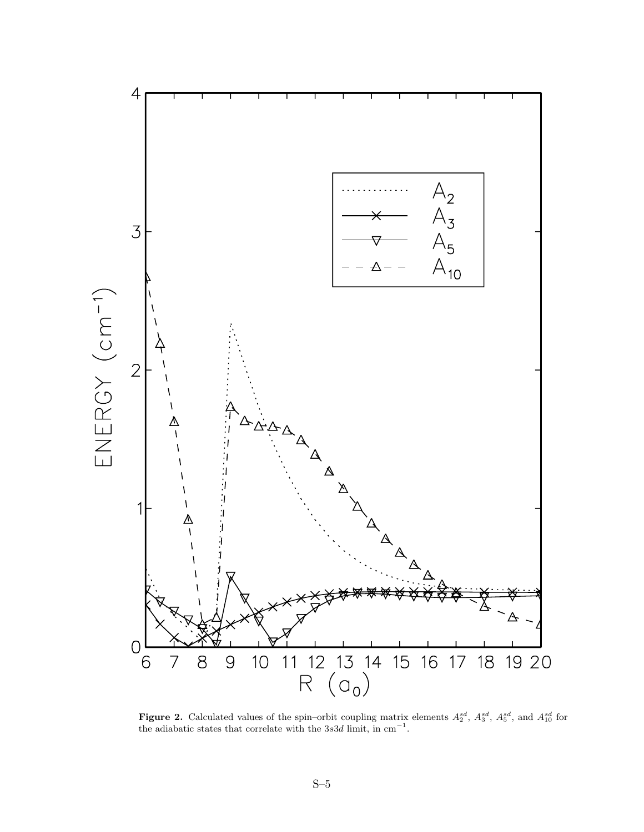

**Figure 2.** Calculated values of the spin–orbit coupling matrix elements  $A_2^{sd}$ ,  $A_3^{sd}$ ,  $A_5^{sd}$ , and  $A_{10}^{sd}$  for the adiabatic states that correlate with the 3s3d limit in cm<sup>-1</sup> the adiabatic states that correlate with the 3*s*3*d* limit, in cm*−*<sup>1</sup>.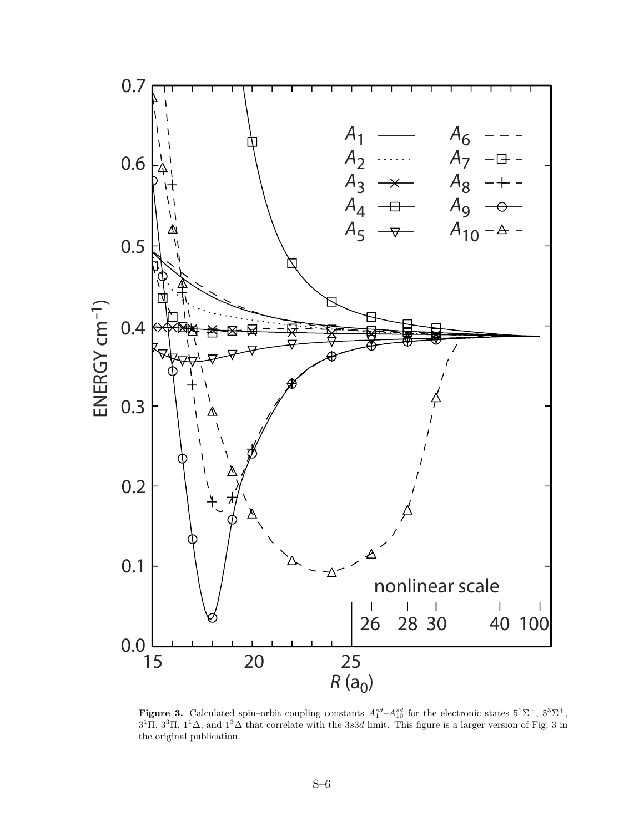

**Figure 3.** Calculated spin–orbit coupling constants  $A_1^{sd} - A_1^{sd}$  for the electronic states  $5^1\Sigma^+$ ,  $5^3\Sigma^+$ ,  $5^3\Sigma^+$ ,  $5^3\Sigma^+$ ,  $5^3\Sigma^+$ ,  $5^3\Sigma^+$ ,  $5^3\Sigma^+$ ,  $5^3\Sigma^+$ ,  $5^3\Sigma^+$ ,  $5^3\Sigma^+$ ,  $5^3\Sigma^+$ ,  $5^3\S$  $3^{1}$ Π,  $3^{3}$ Π,  $1^{1}$ Δ, and  $1^{3}$ Δ that correlate with the 3*s*3*d* limit. This figure is a larger version of Fig. 3 in the original publication.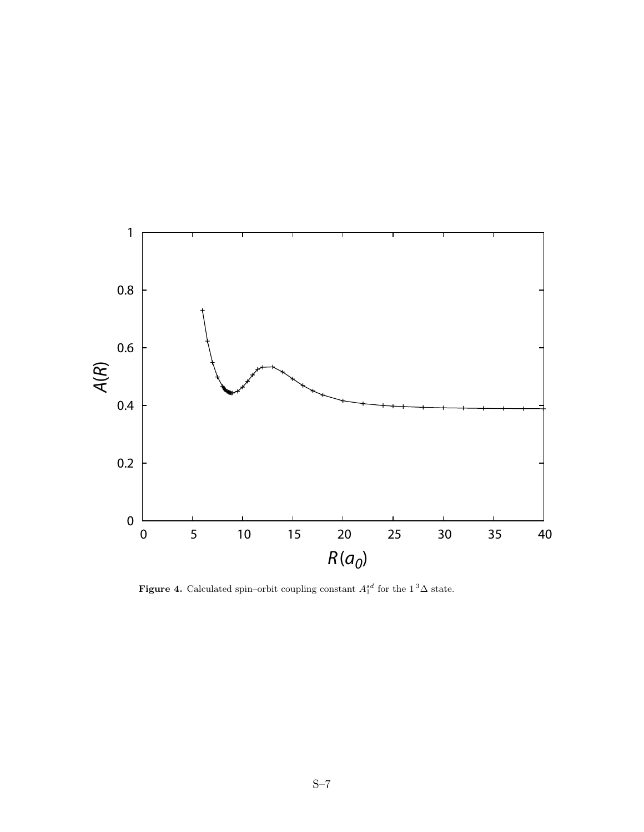

**Figure 4.** Calculated spin–orbit coupling constant  $A_1^{sd}$  for the  $1^3\Delta$  state.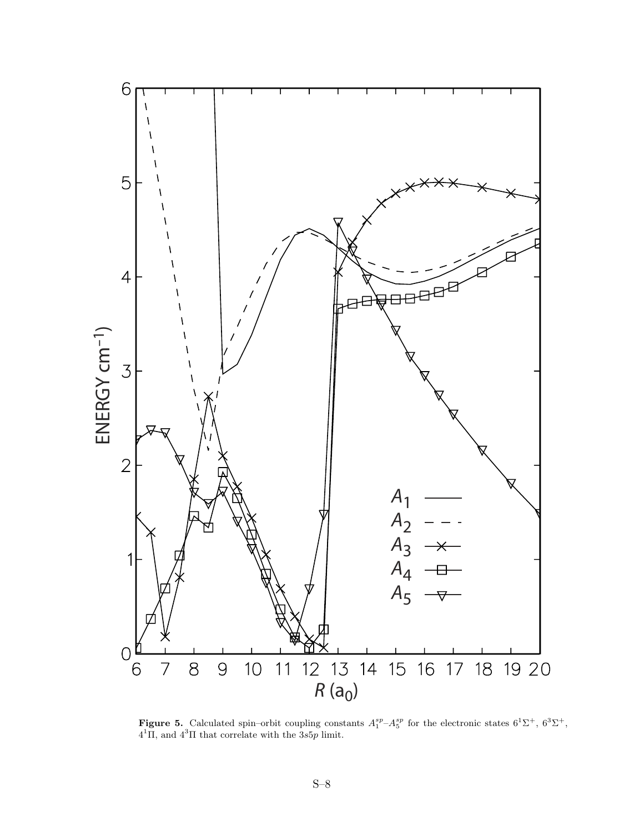

**Figure 5.** Calculated spin–orbit coupling constants  $A_1^{sp} - A_5^{sp}$  for the electronic states  $6^1\Sigma^+$ ,  $6^3\Sigma^+$ ,  $4^4\Pi$  and  $4^3\Pi$  that correlate with the 3s5n limit 4<sup>1</sup>Π, and 4<sup>3</sup>Π that correlate with the 3*s*5*p* limit.